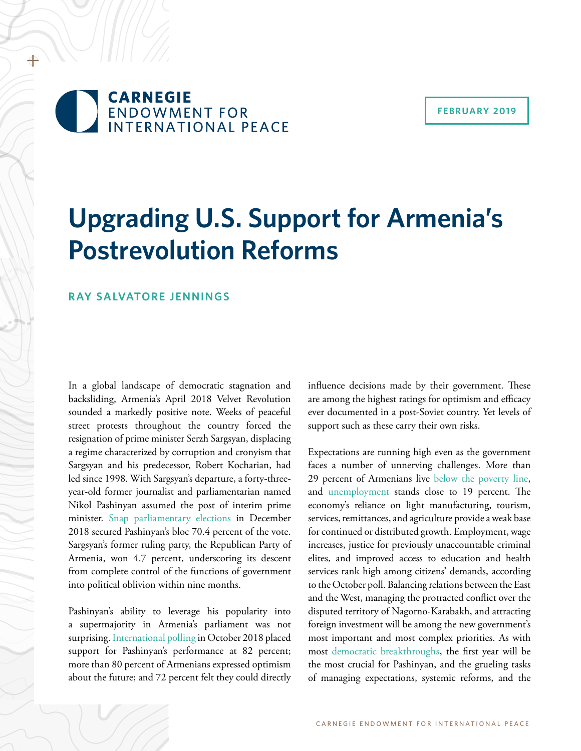+

#### **FEBRUARY 2019**

# **Upgrading U.S. Support for Armenia's Postrevolution Reforms**

### **RAY SALVATORE JENNINGS**

In a global landscape of democratic stagnation and backsliding, Armenia's April 2018 Velvet Revolution sounded a markedly positive note. Weeks of peaceful street protests throughout the country forced the resignation of prime minister Serzh Sargsyan, displacing a regime characterized by corruption and cronyism that Sargsyan and his predecessor, Robert Kocharian, had led since 1998. With Sargsyan's departure, a forty-threeyear-old former journalist and parliamentarian named Nikol Pashinyan assumed the post of interim prime minister. [Snap parliamentary elections](https://www.theguardian.com/world/2018/dec/10/armenia-election-reformist-pm-nikol-pashinian-wins-convincing-victory) in December 2018 secured Pashinyan's bloc 70.4 percent of the vote. Sargsyan's former ruling party, the Republican Party of Armenia, won 4.7 percent, underscoring its descent from complete control of the functions of government into political oblivion within nine months.

Pashinyan's ability to leverage his popularity into a supermajority in Armenia's parliament was not surprising. [International polling](https://www.iri.org/resource/new-poll-armenians-optimistic-about-future-new-government) in October 2018 placed support for Pashinyan's performance at 82 percent; more than 80 percent of Armenians expressed optimism about the future; and 72 percent felt they could directly influence decisions made by their government. These are among the highest ratings for optimism and efficacy ever documented in a post-Soviet country. Yet levels of support such as these carry their own risks.

Expectations are running high even as the government faces a number of unnerving challenges. More than 29 percent of Armenians live [below the poverty line,](https://www.adb.org/countries/armenia/poverty) and [unemployment](https://www.imf.org/external/datamapper/LUR@WEO/OEMDC/ADVEC/WEOWORLD) stands close to 19 percent. The economy's reliance on light manufacturing, tourism, services, remittances, and agriculture provide a weak base for continued or distributed growth. Employment, wage increases, justice for previously unaccountable criminal elites, and improved access to education and health services rank high among citizens' demands, according to the October poll. Balancing relations between the East and the West, managing the protracted conflict over the disputed territory of Nagorno-Karabakh, and attracting foreign investment will be among the new government's most important and most complex priorities. As with most [democratic breakthroughs](https://politicalscience.stanford.edu/publications/transitions-democracy-comparative-perspective), the first year will be the most crucial for Pashinyan, and the grueling tasks of managing expectations, systemic reforms, and the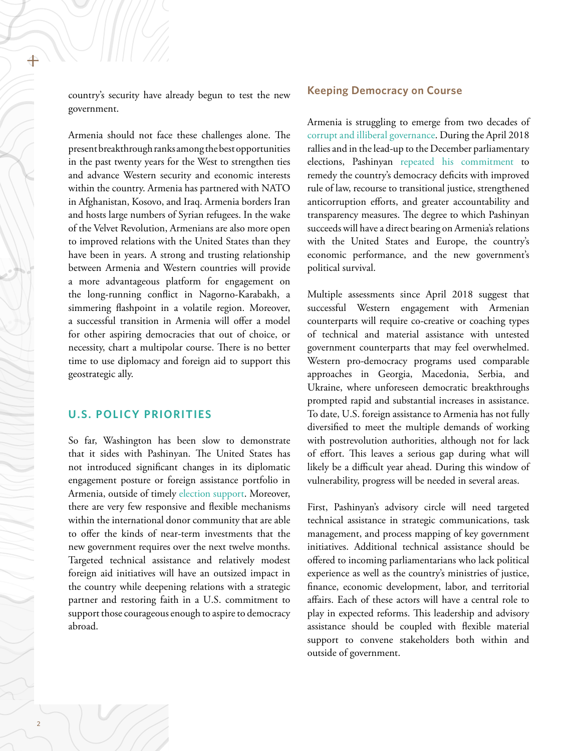country's security have already begun to test the new government.

Armenia should not face these challenges alone. The present breakthrough ranks among the best opportunities in the past twenty years for the West to strengthen ties and advance Western security and economic interests within the country. Armenia has partnered with NATO in Afghanistan, Kosovo, and Iraq. Armenia borders Iran and hosts large numbers of Syrian refugees. In the wake of the Velvet Revolution, Armenians are also more open to improved relations with the United States than they have been in years. A strong and trusting relationship between Armenia and Western countries will provide a more advantageous platform for engagement on the long-running conflict in Nagorno-Karabakh, a simmering flashpoint in a volatile region. Moreover, a successful transition in Armenia will offer a model for other aspiring democracies that out of choice, or necessity, chart a multipolar course. There is no better time to use diplomacy and foreign aid to support this geostrategic ally.

### **U.S. POLICY PRIORITIES**

So far, Washington has been slow to demonstrate that it sides with Pashinyan. The United States has not introduced significant changes in its diplomatic engagement posture or foreign assistance portfolio in Armenia, outside of timely [election support](https://am.usembassy.gov/elections-assistance/). Moreover, there are very few responsive and flexible mechanisms within the international donor community that are able to offer the kinds of near-term investments that the new government requires over the next twelve months. Targeted technical assistance and relatively modest foreign aid initiatives will have an outsized impact in the country while deepening relations with a strategic partner and restoring faith in a U.S. commitment to support those courageous enough to aspire to democracy abroad.

#### **Keeping Democracy on Course**

Armenia is struggling to emerge from two decades of [corrupt and illiberal governance.](https://www.economist.com/the-economist-explains/2018/12/11/what-happens-next-in-armenia) During the April 2018 rallies and in the lead-up to the December parliamentary elections, Pashinyan [repeated his commitment](https://fpc.org.uk/armenia-further-changes-and-challenges-ahead-in-2018/) to remedy the country's democracy deficits with improved rule of law, recourse to transitional justice, strengthened anticorruption efforts, and greater accountability and transparency measures. The degree to which Pashinyan succeeds will have a direct bearing on Armenia's relations with the United States and Europe, the country's economic performance, and the new government's political survival.

Multiple assessments since April 2018 suggest that successful Western engagement with Armenian counterparts will require co-creative or coaching types of technical and material assistance with untested government counterparts that may feel overwhelmed. Western pro-democracy programs used comparable approaches in Georgia, Macedonia, Serbia, and Ukraine, where unforeseen democratic breakthroughs prompted rapid and substantial increases in assistance. To date, U.S. foreign assistance to Armenia has not fully diversified to meet the multiple demands of working with postrevolution authorities, although not for lack of effort. This leaves a serious gap during what will likely be a difficult year ahead. During this window of vulnerability, progress will be needed in several areas.

First, Pashinyan's advisory circle will need targeted technical assistance in strategic communications, task management, and process mapping of key government initiatives. Additional technical assistance should be offered to incoming parliamentarians who lack political experience as well as the country's ministries of justice, finance, economic development, labor, and territorial affairs. Each of these actors will have a central role to play in expected reforms. This leadership and advisory assistance should be coupled with flexible material support to convene stakeholders both within and outside of government.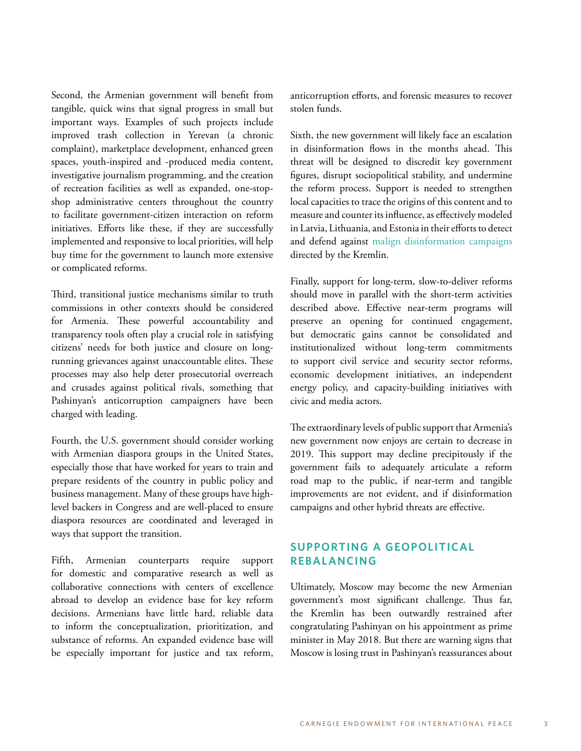Second, the Armenian government will benefit from tangible, quick wins that signal progress in small but important ways. Examples of such projects include improved trash collection in Yerevan (a chronic complaint), marketplace development, enhanced green spaces, youth-inspired and -produced media content, investigative journalism programming, and the creation of recreation facilities as well as expanded, one-stopshop administrative centers throughout the country to facilitate government-citizen interaction on reform initiatives. Efforts like these, if they are successfully implemented and responsive to local priorities, will help buy time for the government to launch more extensive or complicated reforms.

Third, transitional justice mechanisms similar to truth commissions in other contexts should be considered for Armenia. These powerful accountability and transparency tools often play a crucial role in satisfying citizens' needs for both justice and closure on longrunning grievances against unaccountable elites. These processes may also help deter prosecutorial overreach and crusades against political rivals, something that Pashinyan's anticorruption campaigners have been charged with leading.

Fourth, the U.S. government should consider working with Armenian diaspora groups in the United States, especially those that have worked for years to train and prepare residents of the country in public policy and business management. Many of these groups have highlevel backers in Congress and are well-placed to ensure diaspora resources are coordinated and leveraged in ways that support the transition.

Fifth, Armenian counterparts require support for domestic and comparative research as well as collaborative connections with centers of excellence abroad to develop an evidence base for key reform decisions. Armenians have little hard, reliable data to inform the conceptualization, prioritization, and substance of reforms. An expanded evidence base will be especially important for justice and tax reform, anticorruption efforts, and forensic measures to recover stolen funds.

Sixth, the new government will likely face an escalation in disinformation flows in the months ahead. This threat will be designed to discredit key government figures, disrupt sociopolitical stability, and undermine the reform process. Support is needed to strengthen local capacities to trace the origins of this content and to measure and counter its influence, as effectively modeled in Latvia, Lithuania, and Estonia in their efforts to detect and defend against [malign disinformation campaigns](https://www.theatlantic.com/international/archive/2017/02/russia-disinformation-baltics/515301/) directed by the Kremlin.

Finally, support for long-term, slow-to-deliver reforms should move in parallel with the short-term activities described above. Effective near-term programs will preserve an opening for continued engagement, but democratic gains cannot be consolidated and institutionalized without long-term commitments to support civil service and security sector reforms, economic development initiatives, an independent energy policy, and capacity-building initiatives with civic and media actors.

The extraordinary levels of public support that Armenia's new government now enjoys are certain to decrease in 2019. This support may decline precipitously if the government fails to adequately articulate a reform road map to the public, if near-term and tangible improvements are not evident, and if disinformation campaigns and other hybrid threats are effective.

# **SUPPORTING A GEOPOLITICAL REBALANCING**

Ultimately, Moscow may become the new Armenian government's most significant challenge. Thus far, the Kremlin has been outwardly restrained after congratulating Pashinyan on his appointment as prime minister in May 2018. But there are warning signs that Moscow is losing trust in Pashinyan's reassurances about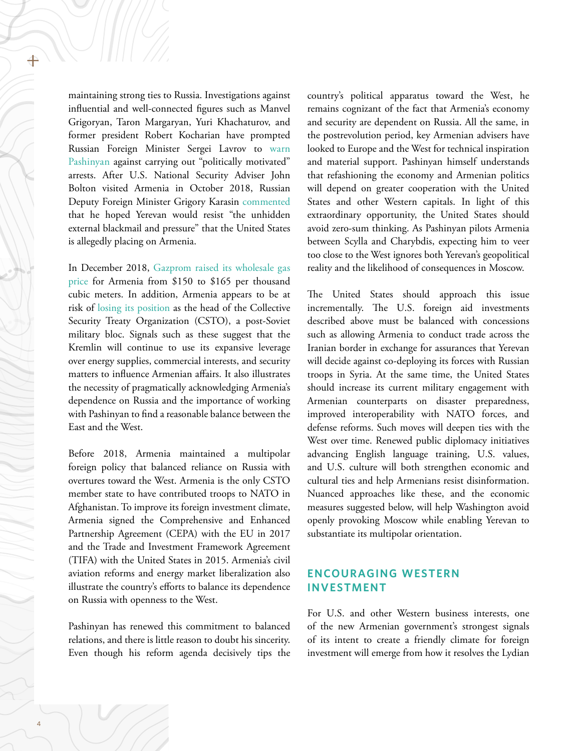maintaining strong ties to Russia. Investigations against influential and well-connected figures such as Manvel Grigoryan, Taron Margaryan, Yuri Khachaturov, and former president Robert Kocharian have prompted Russian Foreign Minister Sergei Lavrov to [warn](https://www.azatutyun.am/a/29401668.html)  [Pashinyan](https://www.azatutyun.am/a/29401668.html) against carrying out "politically motivated" arrests. After U.S. National Security Adviser John Bolton visited Armenia in October 2018, Russian Deputy Foreign Minister Grigory Karasin [commented](https://www.azatutyun.am/a/29665243.html) that he hoped Yerevan would resist "the unhidden external blackmail and pressure" that the United States is allegedly placing on Armenia.

In December 2018, [Gazprom raised its wholesale gas](https://emerging-europe.com/news/russia-hikes-gas-prices-for-armenia/)  [price](https://emerging-europe.com/news/russia-hikes-gas-prices-for-armenia/) for Armenia from \$150 to \$165 per thousand cubic meters. In addition, Armenia appears to be at risk of [losing its position](https://eurasianet.org/armenia-appears-in-danger-of-losing-csto-leadership-position) as the head of the Collective Security Treaty Organization (CSTO), a post-Soviet military bloc. Signals such as these suggest that the Kremlin will continue to use its expansive leverage over energy supplies, commercial interests, and security matters to influence Armenian affairs. It also illustrates the necessity of pragmatically acknowledging Armenia's dependence on Russia and the importance of working with Pashinyan to find a reasonable balance between the East and the West.

Before 2018, Armenia maintained a multipolar foreign policy that balanced reliance on Russia with overtures toward the West. Armenia is the only CSTO member state to have contributed troops to NATO in Afghanistan. To improve its foreign investment climate, Armenia signed the Comprehensive and Enhanced Partnership Agreement (CEPA) with the EU in 2017 and the Trade and Investment Framework Agreement (TIFA) with the United States in 2015. Armenia's civil aviation reforms and energy market liberalization also illustrate the country's efforts to balance its dependence on Russia with openness to the West.

Pashinyan has renewed this commitment to balanced relations, and there is little reason to doubt his sincerity. Even though his reform agenda decisively tips the country's political apparatus toward the West, he remains cognizant of the fact that Armenia's economy and security are dependent on Russia. All the same, in the postrevolution period, key Armenian advisers have looked to Europe and the West for technical inspiration and material support. Pashinyan himself understands that refashioning the economy and Armenian politics will depend on greater cooperation with the United States and other Western capitals. In light of this extraordinary opportunity, the United States should avoid zero-sum thinking. As Pashinyan pilots Armenia between Scylla and Charybdis, expecting him to veer too close to the West ignores both Yerevan's geopolitical reality and the likelihood of consequences in Moscow.

The United States should approach this issue incrementally. The U.S. foreign aid investments described above must be balanced with concessions such as allowing Armenia to conduct trade across the Iranian border in exchange for assurances that Yerevan will decide against co-deploying its forces with Russian troops in Syria. At the same time, the United States should increase its current military engagement with Armenian counterparts on disaster preparedness, improved interoperability with NATO forces, and defense reforms. Such moves will deepen ties with the West over time. Renewed public diplomacy initiatives advancing English language training, U.S. values, and U.S. culture will both strengthen economic and cultural ties and help Armenians resist disinformation. Nuanced approaches like these, and the economic measures suggested below, will help Washington avoid openly provoking Moscow while enabling Yerevan to substantiate its multipolar orientation.

## **ENCOURAGING WESTERN INVESTMENT**

For U.S. and other Western business interests, one of the new Armenian government's strongest signals of its intent to create a friendly climate for foreign investment will emerge from how it resolves the Lydian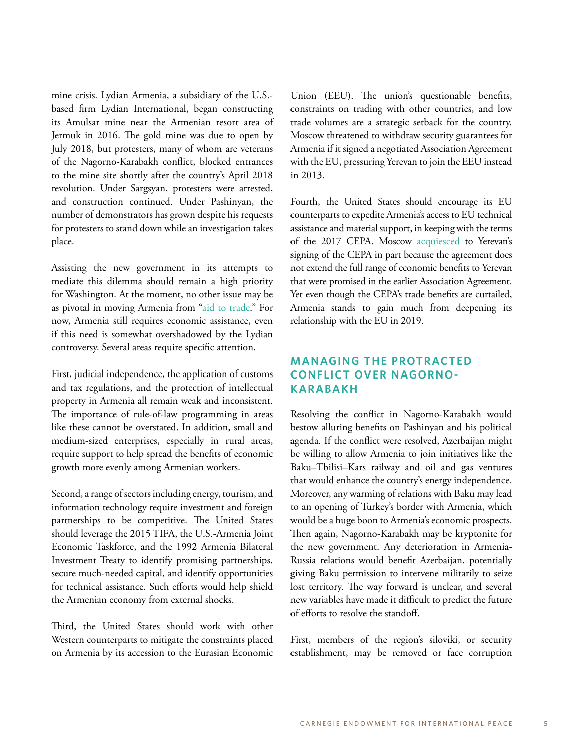mine crisis. Lydian Armenia, a subsidiary of the U.S. based firm Lydian International, began constructing its Amulsar mine near the Armenian resort area of Jermuk in 2016. The gold mine was due to open by July 2018, but protesters, many of whom are veterans of the Nagorno-Karabakh conflict, blocked entrances to the mine site shortly after the country's April 2018 revolution. Under Sargsyan, protesters were arrested, and construction continued. Under Pashinyan, the number of demonstrators has grown despite his requests for protesters to stand down while an investigation takes place.

Assisting the new government in its attempts to mediate this dilemma should remain a high priority for Washington. At the moment, no other issue may be as pivotal in moving Armenia from ["aid to trade.](http://asbarez.com/167535/usaid-wants-to-transition-from-aid-to-trade-in-armenia/)" For now, Armenia still requires economic assistance, even if this need is somewhat overshadowed by the Lydian controversy. Several areas require specific attention.

First, judicial independence, the application of customs and tax regulations, and the protection of intellectual property in Armenia all remain weak and inconsistent. The importance of rule-of-law programming in areas like these cannot be overstated. In addition, small and medium-sized enterprises, especially in rural areas, require support to help spread the benefits of economic growth more evenly among Armenian workers.

Second, a range of sectors including energy, tourism, and information technology require investment and foreign partnerships to be competitive. The United States should leverage the 2015 TIFA, the U.S.-Armenia Joint Economic Taskforce, and the 1992 Armenia Bilateral Investment Treaty to identify promising partnerships, secure much-needed capital, and identify opportunities for technical assistance. Such efforts would help shield the Armenian economy from external shocks.

Third, the United States should work with other Western counterparts to mitigate the constraints placed on Armenia by its accession to the Eurasian Economic

Union (EEU). The union's questionable benefits, constraints on trading with other countries, and low trade volumes are a strategic setback for the country. Moscow threatened to withdraw security guarantees for Armenia if it signed a negotiated Association Agreement with the EU, pressuring Yerevan to join the EEU instead in 2013.

Fourth, the United States should encourage its EU counterparts to expedite Armenia's access to EU technical assistance and material support, in keeping with the terms of the 2017 CEPA. Moscow [acquiesced](https://carnegie.ru/commentary/74938) to Yerevan's signing of the CEPA in part because the agreement does not extend the full range of economic benefits to Yerevan that were promised in the earlier Association Agreement. Yet even though the CEPA's trade benefits are curtailed, Armenia stands to gain much from deepening its relationship with the EU in 2019.

# **MANAGING THE PROTRACTED CONFLICT OVER NAGORNO-KARABAKH**

Resolving the conflict in Nagorno-Karabakh would bestow alluring benefits on Pashinyan and his political agenda. If the conflict were resolved, Azerbaijan might be willing to allow Armenia to join initiatives like the Baku–Tbilisi–Kars railway and oil and gas ventures that would enhance the country's energy independence. Moreover, any warming of relations with Baku may lead to an opening of Turkey's border with Armenia, which would be a huge boon to Armenia's economic prospects. Then again, Nagorno-Karabakh may be kryptonite for the new government. Any deterioration in Armenia-Russia relations would benefit Azerbaijan, potentially giving Baku permission to intervene militarily to seize lost territory. The way forward is unclear, and several new variables have made it difficult to predict the future of efforts to resolve the standoff.

First, members of the region's siloviki, or security establishment, may be removed or face corruption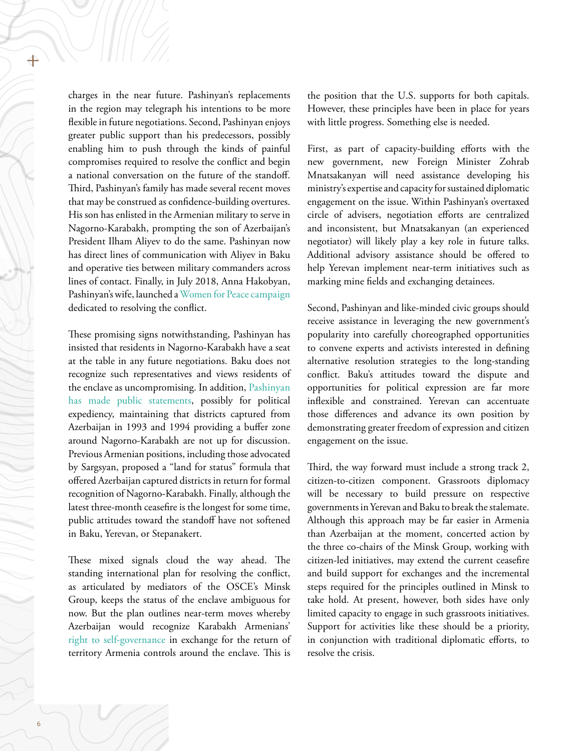charges in the near future. Pashinyan's replacements in the region may telegraph his intentions to be more flexible in future negotiations. Second, Pashinyan enjoys greater public support than his predecessors, possibly enabling him to push through the kinds of painful compromises required to resolve the conflict and begin a national conversation on the future of the standoff. Third, Pashinyan's family has made several recent moves that may be construed as confidence-building overtures. His son has enlisted in the Armenian military to serve in Nagorno-Karabakh, prompting the son of Azerbaijan's President Ilham Aliyev to do the same. Pashinyan now has direct lines of communication with Aliyev in Baku and operative ties between military commanders across lines of contact. Finally, in July 2018, Anna Hakobyan, Pashinyan's wife, launched a [Women for Peace campaign](https://news.am/eng/news/463477.html) dedicated to resolving the conflict.

These promising signs notwithstanding, Pashinyan has insisted that residents in Nagorno-Karabakh have a seat at the table in any future negotiations. Baku does not recognize such representatives and views residents of the enclave as uncompromising. In addition, [Pashinyan](https://jamestown.org/program/pashinyan-stiffens-armenias-posture-toward-karabakh/)  [has made public statements,](https://jamestown.org/program/pashinyan-stiffens-armenias-posture-toward-karabakh/) possibly for political expediency, maintaining that districts captured from Azerbaijan in 1993 and 1994 providing a buffer zone around Nagorno-Karabakh are not up for discussion. Previous Armenian positions, including those advocated by Sargsyan, proposed a "land for status" formula that offered Azerbaijan captured districts in return for formal recognition of Nagorno-Karabakh. Finally, although the latest three-month ceasefire is the longest for some time, public attitudes toward the standoff have not softened in Baku, Yerevan, or Stepanakert.

These mixed signals cloud the way ahead. The standing international plan for resolving the conflict, as articulated by mediators of the OSCE's Minsk Group, keeps the status of the enclave ambiguous for now. But the plan outlines near-term moves whereby Azerbaijan would recognize Karabakh Armenians' [right to self-governance](https://fpc.state.gov/273605.htm) in exchange for the return of territory Armenia controls around the enclave. This is

the position that the U.S. supports for both capitals. However, these principles have been in place for years with little progress. Something else is needed.

First, as part of capacity-building efforts with the new government, new Foreign Minister Zohrab Mnatsakanyan will need assistance developing his ministry's expertise and capacity for sustained diplomatic engagement on the issue. Within Pashinyan's overtaxed circle of advisers, negotiation efforts are centralized and inconsistent, but Mnatsakanyan (an experienced negotiator) will likely play a key role in future talks. Additional advisory assistance should be offered to help Yerevan implement near-term initiatives such as marking mine fields and exchanging detainees.

Second, Pashinyan and like-minded civic groups should receive assistance in leveraging the new government's popularity into carefully choreographed opportunities to convene experts and activists interested in defining alternative resolution strategies to the long-standing conflict. Baku's attitudes toward the dispute and opportunities for political expression are far more inflexible and constrained. Yerevan can accentuate those differences and advance its own position by demonstrating greater freedom of expression and citizen engagement on the issue.

Third, the way forward must include a strong track 2, citizen-to-citizen component. Grassroots diplomacy will be necessary to build pressure on respective governments in Yerevan and Baku to break the stalemate. Although this approach may be far easier in Armenia than Azerbaijan at the moment, concerted action by the three co-chairs of the Minsk Group, working with citizen-led initiatives, may extend the current ceasefire and build support for exchanges and the incremental steps required for the principles outlined in Minsk to take hold. At present, however, both sides have only limited capacity to engage in such grassroots initiatives. Support for activities like these should be a priority, in conjunction with traditional diplomatic efforts, to resolve the crisis.